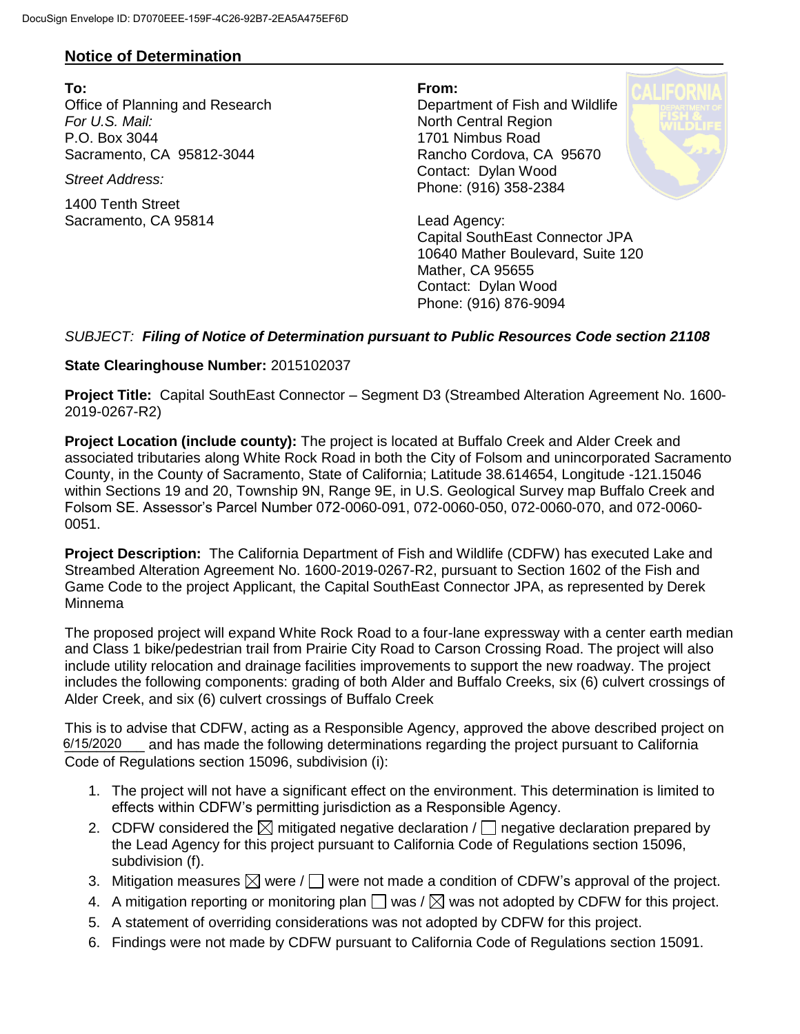## **Notice of Determination**

**To: From:**  Office of Planning and Research Department of Fish and Wildlife **For U.S. Mail:** North Central Region P.O. Box 3044 1701 Nimbus Road Sacramento, CA 95812-3044 Rancho Cordova, CA 95670

1400 Tenth Street Sacramento, CA 95814 Lead Agency:

*Street Address:* Contact: Dylan Wood Phone: (916) 358-2384



Capital SouthEast Connector JPA 10640 Mather Boulevard, Suite 120 Mather, CA 95655 Contact: Dylan Wood Phone: (916) 876-9094

## *SUBJECT: Filing of Notice of Determination pursuant to Public Resources Code section 21108*

## **State Clearinghouse Number:** 2015102037

**Project Title:** Capital SouthEast Connector – Segment D3 (Streambed Alteration Agreement No. 1600- 2019-0267-R2)

**Project Location (include county):** The project is located at Buffalo Creek and Alder Creek and associated tributaries along White Rock Road in both the City of Folsom and unincorporated Sacramento County, in the County of Sacramento, State of California; Latitude 38.614654, Longitude -121.15046 within Sections 19 and 20, Township 9N, Range 9E, in U.S. Geological Survey map Buffalo Creek and Folsom SE. Assessor's Parcel Number 072-0060-091, 072-0060-050, 072-0060-070, and 072-0060- 0051.

**Project Description:** The California Department of Fish and Wildlife (CDFW) has executed Lake and Streambed Alteration Agreement No. 1600-2019-0267-R2, pursuant to Section 1602 of the Fish and Game Code to the project Applicant, the Capital SouthEast Connector JPA, as represented by Derek Minnema

The proposed project will expand White Rock Road to a four-lane expressway with a center earth median and Class 1 bike/pedestrian trail from Prairie City Road to Carson Crossing Road. The project will also include utility relocation and drainage facilities improvements to support the new roadway. The project includes the following components: grading of both Alder and Buffalo Creeks, six (6) culvert crossings of Alder Creek, and six (6) culvert crossings of Buffalo Creek

This is to advise that CDFW, acting as a Responsible Agency, approved the above described project on 6/15/2020 and has made the following determinations regarding the project pursuant to California Code of Regulations section 15096, subdivision (i):

- 1. The project will not have a significant effect on the environment. This determination is limited to effects within CDFW's permitting jurisdiction as a Responsible Agency.
- 2. CDFW considered the  $\boxtimes$  mitigated negative declaration /  $\Box$  negative declaration prepared by the Lead Agency for this project pursuant to California Code of Regulations section 15096, subdivision (f).
- 3. Mitigation measures  $\boxtimes$  were /  $\Box$  were not made a condition of CDFW's approval of the project.
- 4. A mitigation reporting or monitoring plan  $\Box$  was /  $\boxtimes$  was not adopted by CDFW for this project.
- 5. A statement of overriding considerations was not adopted by CDFW for this project.
- 6. Findings were not made by CDFW pursuant to California Code of Regulations section 15091.